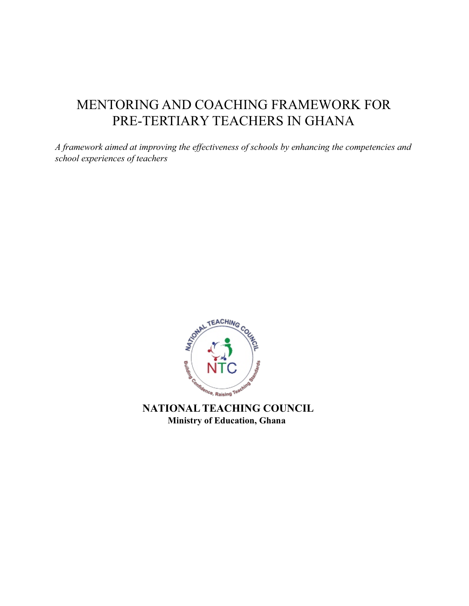# MENTORING AND COACHING FRAMEWORK FOR PRE-TERTIARY TEACHERS IN GHANA

*A framework aimed at improving the effectiveness of schools by enhancing the competencies and school experiences of teachers*



 **NATIONAL TEACHING COUNCIL Ministry of Education, Ghana**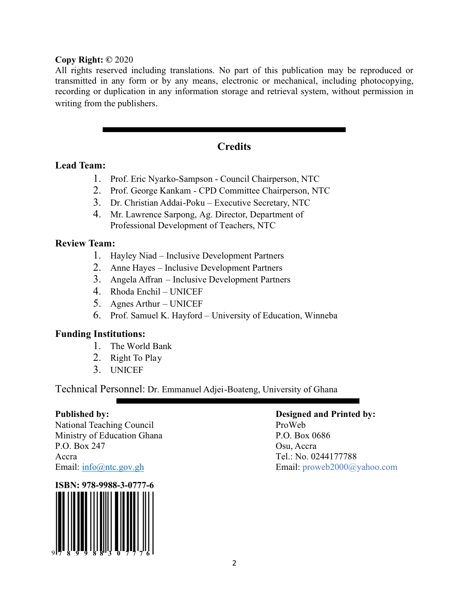#### **Copy Right: ©** 2020

All rights reserved including translations. No part of this publication may be reproduced or transmitted in any form or by any means, electronic or mechanical, including photocopying, recording or duplication in any information storage and retrieval system, without permission in writing from the publishers.

# **Credits**

# **Lead Team:**

- 1. Prof. Eric Nyarko-Sampson Council Chairperson, NTC
- 2. Prof. George Kankam CPD Committee Chairperson, NTC
- 3. Dr. Christian Addai-Poku Executive Secretary, NTC
- 4. Mr. Lawrence Sarpong, Ag. Director, Department of Professional Development of Teachers, NTC

# **Review Team:**

- 1. Hayley Niad Inclusive Development Partners
- 2. Anne Hayes Inclusive Development Partners
- 3. Angela Affran Inclusive Development Partners
- 4. Rhoda Enchil UNICEF
- 5. Agnes Arthur UNICEF
- 6. Prof. Samuel K. Hayford University of Education, Winneba

# **Funding Institutions:**

- 1. The World Bank
- 2. Right To Play
- 3. UNICEF

Technical Personnel: Dr. Emmanuel Adjei-Boateng, University of Ghana

National Teaching Council ProWeb Ministry of Education Ghana P.O. Box 0686 P.O. Box 247 Osu, Accra Accra Tel.: No. 0244177788



#### **Published by: Designed and Printed by:**

Email: info@ntc.gov.gh Email: proweb2000@yahoo.com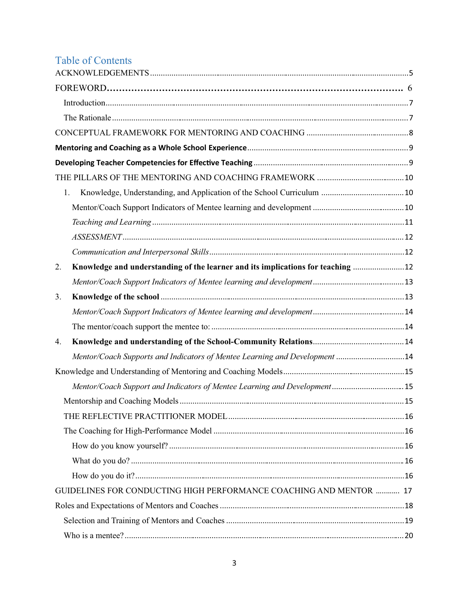# Table of Contents

| 1.                                                                                     |  |
|----------------------------------------------------------------------------------------|--|
|                                                                                        |  |
|                                                                                        |  |
|                                                                                        |  |
|                                                                                        |  |
| Knowledge and understanding of the learner and its implications for teaching  12<br>2. |  |
|                                                                                        |  |
| 3.                                                                                     |  |
|                                                                                        |  |
|                                                                                        |  |
| 4.                                                                                     |  |
| Mentor/Coach Supports and Indicators of Mentee Learning and Development 14             |  |
|                                                                                        |  |
| Mentor/Coach Support and Indicators of Mentee Learning and Development 15              |  |
|                                                                                        |  |
|                                                                                        |  |
|                                                                                        |  |
|                                                                                        |  |
|                                                                                        |  |
|                                                                                        |  |
| GUIDELINES FOR CONDUCTING HIGH PERFORMANCE COACHING AND MENTOR  17                     |  |
|                                                                                        |  |
|                                                                                        |  |
|                                                                                        |  |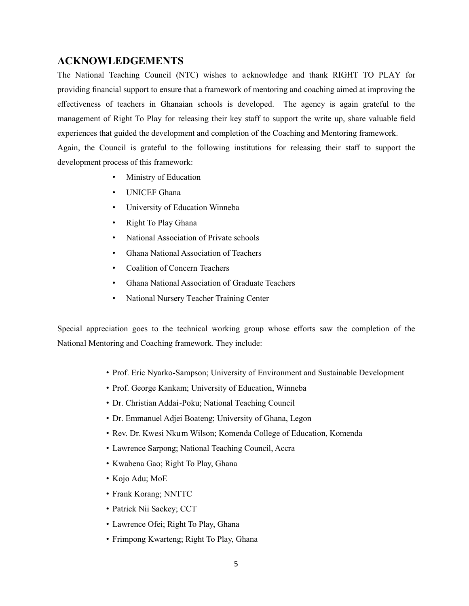#### **ACKNOWLEDGEMENTS**

The National Teaching Council (NTC) wishes to acknowledge and thank RIGHT TO PLAY for providing financial support to ensure that a framework of mentoring and coaching aimed at improving the effectiveness of teachers in Ghanaian schools is developed. The agency is again grateful to the management of Right To Play for releasing their key staff to support the write up, share valuable field experiences that guided the development and completion of the Coaching and Mentoring framework. Again, the Council is grateful to the following institutions for releasing their staff to support the

development process of this framework:

- Ministry of Education
- UNICEF Ghana
- University of Education Winneba
- Right To Play Ghana
- National Association of Private schools
- Ghana National Association of Teachers
- Coalition of Concern Teachers
- Ghana National Association of Graduate Teachers
- National Nursery Teacher Training Center

Special appreciation goes to the technical working group whose efforts saw the completion of the National Mentoring and Coaching framework. They include:

- Prof. Eric Nyarko-Sampson; University of Environment and Sustainable Development
- Prof. George Kankam; University of Education, Winneba
- Dr. Christian Addai-Poku; National Teaching Council
- Dr. Emmanuel Adjei Boateng; University of Ghana, Legon
- Rev. Dr. Kwesi Nkum Wilson; Komenda College of Education, Komenda
- Lawrence Sarpong; National Teaching Council, Accra
- Kwabena Gao; Right To Play, Ghana
- Kojo Adu; MoE
- Frank Korang; NNTTC
- Patrick Nii Sackey; CCT
- Lawrence Ofei; Right To Play, Ghana
- Frimpong Kwarteng; Right To Play, Ghana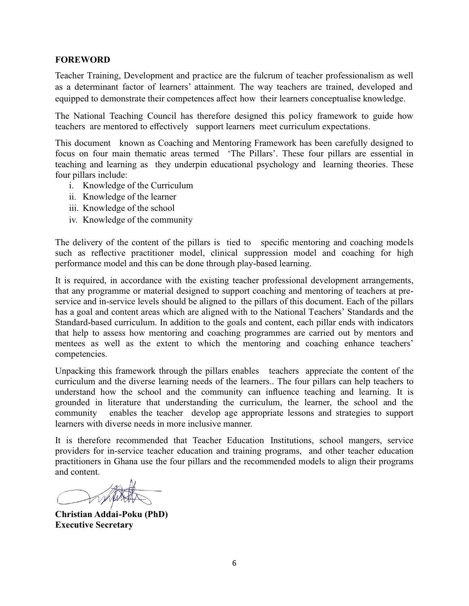#### **FOREWORD**

Teacher Training, Development and practice are the fulcrum of teacher professionalism as well as a determinant factor of learners' attainment. The way teachers are trained, developed and equipped to demonstrate their competences affect how their learners conceptualise knowledge.

The National Teaching Council has therefore designed this policy framework to guide how teachers are mentored to effectively support learners meet curriculum expectations.

This document known as Coaching and Mentoring Framework has been carefully designed to focus on four main thematic areas termed 'The Pillars'. These four pillars are essential in teaching and learning as they underpin educational psychology and learning theories. These four pillars include:

- i. Knowledge of the Curriculum
- ii. Knowledge of the learner
- iii. Knowledge of the school
- iv. Knowledge of the community

The delivery of the content of the pillars is tied to specific mentoring and coaching models such as reflective practitioner model, clinical suppression model and coaching for high performance model and this can be done through play-based learning.

It is required, in accordance with the existing teacher professional development arrangements, that any programme or material designed to support coaching and mentoring of teachers at preservice and in-service levels should be aligned to the pillars of this document. Each of the pillars has a goal and content areas which are aligned with to the National Teachers' Standards and the Standard-based curriculum. In addition to the goals and content, each pillar ends with indicators that help to assess how mentoring and coaching programmes are carried out by mentors and mentees as well as the extent to which the mentoring and coaching enhance teachers' competencies.

Unpacking this framework through the pillars enables teachers appreciate the content of the curriculum and the diverse learning needs of the learners.. The four pillars can help teachers to understand how the school and the community can influence teaching and learning. It is grounded in literature that understanding the curriculum, the learner, the school and the community enables the teacher develop age appropriate lessons and strategies to support learners with diverse needs in more inclusive manner.

It is therefore recommended that Teacher Education Institutions, school mangers, service providers for in-service teacher education and training programs, and other teacher education practitioners in Ghana use the four pillars and the recommended models to align their programs and content.

**Christian Addai-Poku (PhD) Executive Secretary**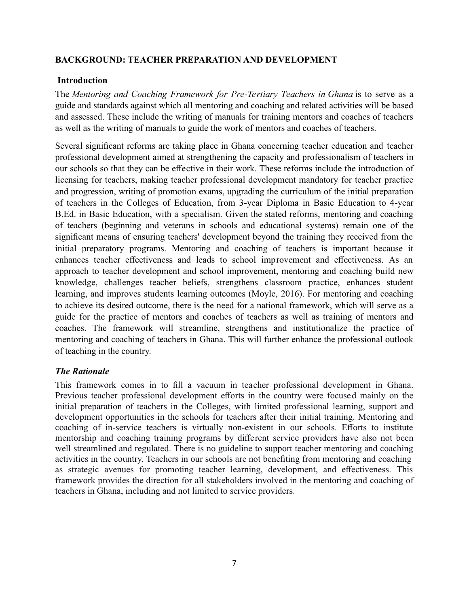#### **BACKGROUND: TEACHER PREPARATION AND DEVELOPMENT**

#### **Introduction**

The *Mentoring and Coaching Framework for Pre-Tertiary Teachers in Ghana* is to serve as a guide and standards against which all mentoring and coaching and related activities will be based and assessed. These include the writing of manuals for training mentors and coaches of teachers as well as the writing of manuals to guide the work of mentors and coaches of teachers.

Several significant reforms are taking place in Ghana concerning teacher education and teacher professional development aimed at strengthening the capacity and professionalism of teachers in our schools so that they can be effective in their work. These reforms include the introduction of licensing for teachers, making teacher professional development mandatory for teacher practice and progression, writing of promotion exams, upgrading the curriculum of the initial preparation of teachers in the Colleges of Education, from 3-year Diploma in Basic Education to 4-year B.Ed. in Basic Education, with a specialism. Given the stated reforms, mentoring and coaching of teachers (beginning and veterans in schools and educational systems) remain one of the significant means of ensuring teachers' development beyond the training they received from the initial preparatory programs. Mentoring and coaching of teachers is important because it enhances teacher effectiveness and leads to school improvement and effectiveness. As an approach to teacher development and school improvement, mentoring and coaching build new knowledge, challenges teacher beliefs, strengthens classroom practice, enhances student learning, and improves students learning outcomes (Moyle, 2016). For mentoring and coaching to achieve its desired outcome, there is the need for a national framework, which will serve as a guide for the practice of mentors and coaches of teachers as well as training of mentors and coaches. The framework will streamline, strengthens and institutionalize the practice of mentoring and coaching of teachers in Ghana. This will further enhance the professional outlook of teaching in the country.

#### *The Rationale*

This framework comes in to fill a vacuum in teacher professional development in Ghana. Previous teacher professional development efforts in the country were focused mainly on the initial preparation of teachers in the Colleges, with limited professional learning, support and development opportunities in the schools for teachers after their initial training. Mentoring and coaching of in-service teachers is virtually non-existent in our schools. Efforts to institute mentorship and coaching training programs by different service providers have also not been well streamlined and regulated. There is no guideline to support teacher mentoring and coaching activities in the country. Teachers in our schools are not benefiting from mentoring and coaching as strategic avenues for promoting teacher learning, development, and effectiveness. This framework provides the direction for all stakeholders involved in the mentoring and coaching of teachers in Ghana, including and not limited to service providers.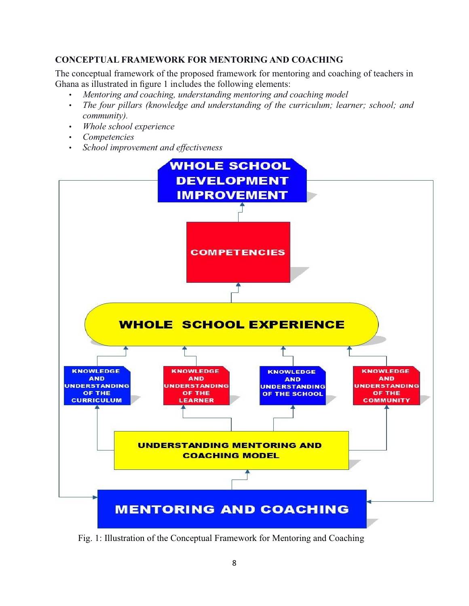# **CONCEPTUAL FRAMEWORK FOR MENTORING AND COACHING**

The conceptual framework of the proposed framework for mentoring and coaching of teachers in Ghana as illustrated in figure 1 includes the following elements:

- *Mentoring and coaching, understanding mentoring and coaching model*
- *The four pillars (knowledge and understanding of the curriculum; learner; school; and community).*
- *Whole school experience*
- *Competencies*
- *School improvement and effectiveness*



Fig. 1: Illustration of the Conceptual Framework for Mentoring and Coaching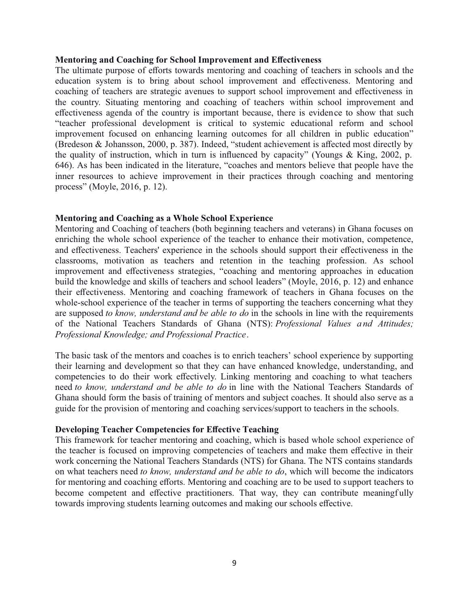#### **Mentoring and Coaching for School Improvement and Effectiveness**

The ultimate purpose of efforts towards mentoring and coaching of teachers in schools and the education system is to bring about school improvement and effectiveness. Mentoring and coaching of teachers are strategic avenues to support school improvement and effectiveness in the country. Situating mentoring and coaching of teachers within school improvement and effectiveness agenda of the country is important because, there is evidence to show that such "teacher professional development is critical to systemic educational reform and school improvement focused on enhancing learning outcomes for all children in public education" (Bredeson & Johansson, 2000, p. 387). Indeed, "student achievement is affected most directly by the quality of instruction, which in turn is influenced by capacity" (Youngs & King, 2002, p. 646). As has been indicated in the literature, "coaches and mentors believe that people have the inner resources to achieve improvement in their practices through coaching and mentoring process" (Moyle, 2016, p. 12).

#### **Mentoring and Coaching as a Whole School Experience**

Mentoring and Coaching of teachers (both beginning teachers and veterans) in Ghana focuses on enriching the whole school experience of the teacher to enhance their motivation, competence, and effectiveness. Teachers' experience in the schools should support their effectiveness in the classrooms, motivation as teachers and retention in the teaching profession. As school improvement and effectiveness strategies, "coaching and mentoring approaches in education build the knowledge and skills of teachers and school leaders" (Moyle, 2016, p. 12) and enhance their effectiveness. Mentoring and coaching framework of teachers in Ghana focuses on the whole-school experience of the teacher in terms of supporting the teachers concerning what they are supposed *to know, understand and be able to do* in the schools in line with the requirements of the National Teachers Standards of Ghana (NTS): *Professional Values a nd Attitudes; Professional Knowledge; and Professional Practice*.

The basic task of the mentors and coaches is to enrich teachers' school experience by supporting their learning and development so that they can have enhanced knowledge, understanding, and competencies to do their work effectively. Linking mentoring and coaching to what teachers need *to know, understand and be able to do* in line with the National Teachers Standards of Ghana should form the basis of training of mentors and subject coaches. It should also serve as a guide for the provision of mentoring and coaching services/support to teachers in the schools.

#### **Developing Teacher Competencies for Effective Teaching**

This framework for teacher mentoring and coaching, which is based whole school experience of the teacher is focused on improving competencies of teachers and make them effective in their work concerning the National Teachers Standards (NTS) for Ghana. The NTS contains standards on what teachers need *to know, understand and be able to do*, which will become the indicators for mentoring and coaching efforts. Mentoring and coaching are to be used to support teachers to become competent and effective practitioners. That way, they can contribute meaningfully towards improving students learning outcomes and making our schools effective.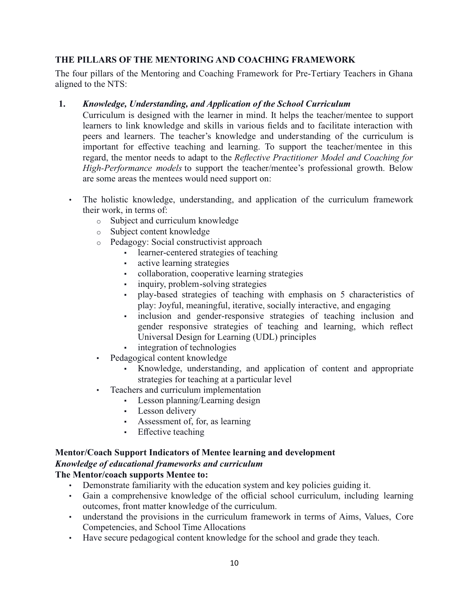# **THE PILLARS OF THE MENTORING AND COACHING FRAMEWORK**

The four pillars of the Mentoring and Coaching Framework for Pre-Tertiary Teachers in Ghana aligned to the NTS:

#### **1.** *Knowledge, Understanding, and Application of the School Curriculum*

Curriculum is designed with the learner in mind. It helps the teacher/mentee to support learners to link knowledge and skills in various fields and to facilitate interaction with peers and learners. The teacher's knowledge and understanding of the curriculum is important for effective teaching and learning. To support the teacher/mentee in this regard, the mentor needs to adapt to the *Reflective Practitioner Model and Coaching for High-Performance models* to support the teacher/mentee's professional growth. Below are some areas the mentees would need support on:

- The holistic knowledge, understanding, and application of the curriculum framework their work, in terms of:
	- o Subject and curriculum knowledge
	- o Subject content knowledge
	- o Pedagogy: Social constructivist approach
		- learner-centered strategies of teaching
		- active learning strategies
		- collaboration, cooperative learning strategies
		- inquiry, problem-solving strategies
		- play-based strategies of teaching with emphasis on 5 characteristics of play: Joyful, meaningful, iterative, socially interactive, and engaging
		- inclusion and gender-responsive strategies of teaching inclusion and gender responsive strategies of teaching and learning, which reflect Universal Design for Learning (UDL) principles
		- integration of technologies
	- Pedagogical content knowledge
		- Knowledge, understanding, and application of content and appropriate strategies for teaching at a particular level
	- Teachers and curriculum implementation
		- Lesson planning/Learning design
			- **•** Lesson delivery
		- Assessment of, for, as learning
		- Effective teaching

# **Mentor/Coach Support Indicators of Mentee learning and development** *Knowledge of educational frameworks and curriculum*

# **The Mentor/coach supports Mentee to:**

- Demonstrate familiarity with the education system and key policies guiding it.
- Gain a comprehensive knowledge of the official school curriculum, including learning outcomes, front matter knowledge of the curriculum.
- understand the provisions in the curriculum framework in terms of Aims, Values, Core Competencies, and School Time Allocations
- Have secure pedagogical content knowledge for the school and grade they teach.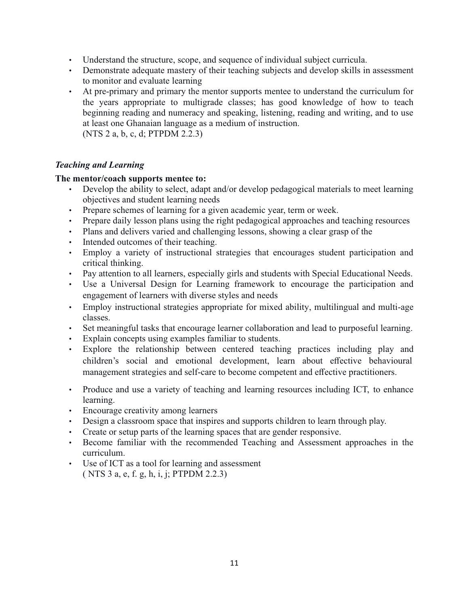- Understand the structure, scope, and sequence of individual subject curricula.
- Demonstrate adequate mastery of their teaching subjects and develop skills in assessment to monitor and evaluate learning
- At pre-primary and primary the mentor supports mentee to understand the curriculum for the years appropriate to multigrade classes; has good knowledge of how to teach beginning reading and numeracy and speaking, listening, reading and writing, and to use at least one Ghanaian language as a medium of instruction. (NTS 2 a, b, c, d; PTPDM 2.2.3)

#### *Teaching and Learning*

#### **The mentor/coach supports mentee to:**

- Develop the ability to select, adapt and/or develop pedagogical materials to meet learning objectives and student learning needs
- Prepare schemes of learning for a given academic year, term or week.
- Prepare daily lesson plans using the right pedagogical approaches and teaching resources
- Plans and delivers varied and challenging lessons, showing a clear grasp of the
- Intended outcomes of their teaching.
- Employ a variety of instructional strategies that encourages student participation and critical thinking.
- Pay attention to all learners, especially girls and students with Special Educational Needs.
- Use a Universal Design for Learning framework to encourage the participation and engagement of learners with diverse styles and needs
- Employ instructional strategies appropriate for mixed ability, multilingual and multi-age classes.
- Set meaningful tasks that encourage learner collaboration and lead to purposeful learning.
- Explain concepts using examples familiar to students.
- Explore the relationship between centered teaching practices including play and children's social and emotional development, learn about effective behavioural management strategies and self-care to become competent and effective practitioners.
- Produce and use a variety of teaching and learning resources including ICT, to enhance learning.
- Encourage creativity among learners
- Design a classroom space that inspires and supports children to learn through play.
- Create or setup parts of the learning spaces that are gender responsive.
- Become familiar with the recommended Teaching and Assessment approaches in the curriculum.
- Use of ICT as a tool for learning and assessment ( NTS 3 a, e, f. g, h, i, j; PTPDM 2.2.3)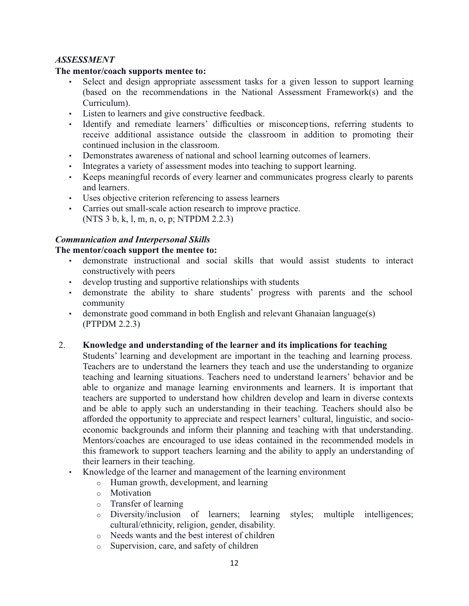#### *ASSESSMENT*

#### **The mentor/coach supports mentee to:**

- Select and design appropriate assessment tasks for a given lesson to support learning (based on the recommendations in the National Assessment Framework(s) and the Curriculum).
- Listen to learners and give constructive feedback.
- Identify and remediate learners' difficulties or misconceptions, referring students to receive additional assistance outside the classroom in addition to promoting their continued inclusion in the classroom.
- Demonstrates awareness of national and school learning outcomes of learners.
- Integrates a variety of assessment modes into teaching to support learning.
- Keeps meaningful records of every learner and communicates progress clearly to parents and learners.
- Uses objective criterion referencing to assess learners
- Carries out small-scale action research to improve practice. (NTS 3 b, k, l, m, n, o, p; NTPDM 2.2.3)

# *Communication and Interpersonal Skills*

# **The mentor/coach support the mentee to:**

- demonstrate instructional and social skills that would assist students to interact constructively with peers
- develop trusting and supportive relationships with students
- demonstrate the ability to share students' progress with parents and the school community
- demonstrate good command in both English and relevant Ghanaian language(s) (PTPDM 2.2.3)
- 2. **Knowledge and understanding of the learner and its implications for teaching**
	- Students' learning and development are important in the teaching and learning process. Teachers are to understand the learners they teach and use the understanding to organize teaching and learning situations. Teachers need to understand learners' behavior and be able to organize and manage learning environments and learners. It is important that teachers are supported to understand how children develop and learn in diverse contexts and be able to apply such an understanding in their teaching. Teachers should also be afforded the opportunity to appreciate and respect learners' cultural, linguistic, and socioeconomic backgrounds and inform their planning and teaching with that understanding. Mentors/coaches are encouraged to use ideas contained in the recommended models in this framework to support teachers learning and the ability to apply an understanding of their learners in their teaching.
	- Knowledge of the learner and management of the learning environment
		- o Human growth, development, and learning
		- o Motivation
		- o Transfer of learning
		- o Diversity/inclusion of learners; learning styles; multiple intelligences; cultural/ethnicity, religion, gender, disability.
		- o Needs wants and the best interest of children
		- o Supervision, care, and safety of children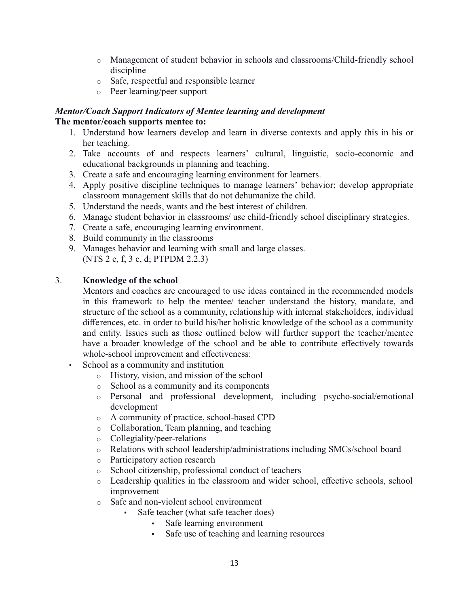- o Management of student behavior in schools and classrooms/Child-friendly school discipline
- o Safe, respectful and responsible learner
- o Peer learning/peer support

#### *Mentor/Coach Support Indicators of Mentee learning and development* **The mentor/coach supports mentee to:**

- 1. Understand how learners develop and learn in diverse contexts and apply this in his or her teaching.
- 2. Take accounts of and respects learners' cultural, linguistic, socio-economic and educational backgrounds in planning and teaching.
- 3. Create a safe and encouraging learning environment for learners.
- 4. Apply positive discipline techniques to manage learners' behavior; develop appropriate classroom management skills that do not dehumanize the child.
- 5. Understand the needs, wants and the best interest of children.
- 6. Manage student behavior in classrooms/ use child-friendly school disciplinary strategies.
- 7. Create a safe, encouraging learning environment.
- 8. Build community in the classrooms
- 9. Manages behavior and learning with small and large classes. (NTS 2 e, f, 3 c, d; PTPDM 2.2.3)

# 3. **Knowledge of the school**

Mentors and coaches are encouraged to use ideas contained in the recommended models in this framework to help the mentee/ teacher understand the history, mandate, and structure of the school as a community, relationship with internal stakeholders, individual differences, etc. in order to build his/her holistic knowledge of the school as a community and entity. Issues such as those outlined below will further support the teacher/mentee have a broader knowledge of the school and be able to contribute effectively towards whole-school improvement and effectiveness:

- School as a community and institution
	- o History, vision, and mission of the school
	- o School as a community and its components
	- o Personal and professional development, including psycho-social/emotional development
	- o A community of practice, school-based CPD
	- o Collaboration, Team planning, and teaching
	- o Collegiality/peer-relations
	- o Relations with school leadership/administrations including SMCs/school board
	- o Participatory action research
	- o School citizenship, professional conduct of teachers
	- o Leadership qualities in the classroom and wider school, effective schools, school improvement
	- o Safe and non-violent school environment
		- Safe teacher (what safe teacher does)
			- Safe learning environment
			- Safe use of teaching and learning resources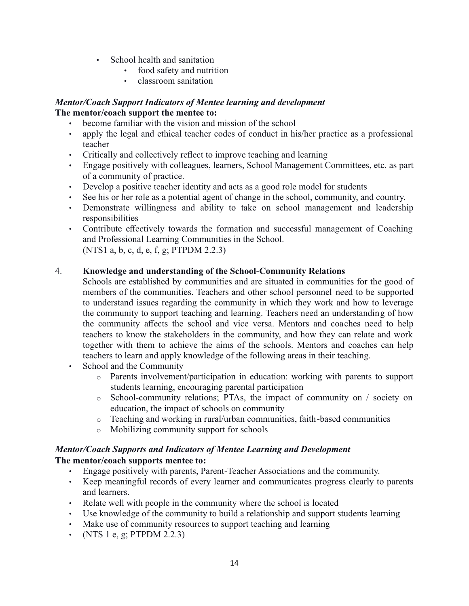- School health and sanitation
	- food safety and nutrition
	- classroom sanitation

#### *Mentor/Coach Support Indicators of Mentee learning and development* **The mentor/coach support the mentee to:**

- become familiar with the vision and mission of the school
- apply the legal and ethical teacher codes of conduct in his/her practice as a professional teacher
- Critically and collectively reflect to improve teaching and learning
- Engage positively with colleagues, learners, School Management Committees, etc. as part of a community of practice.
- Develop a positive teacher identity and acts as a good role model for students
- See his or her role as a potential agent of change in the school, community, and country.
- Demonstrate willingness and ability to take on school management and leadership responsibilities
- Contribute effectively towards the formation and successful management of Coaching and Professional Learning Communities in the School. (NTS1 a, b, c, d, e, f, g; PTPDM 2.2.3)

# 4. **Knowledge and understanding of the School-Community Relations**

- Schools are established by communities and are situated in communities for the good of members of the communities. Teachers and other school personnel need to be supported to understand issues regarding the community in which they work and how to leverage the community to support teaching and learning. Teachers need an understanding of how the community affects the school and vice versa. Mentors and coaches need to help teachers to know the stakeholders in the community, and how they can relate and work together with them to achieve the aims of the schools. Mentors and coaches can help teachers to learn and apply knowledge of the following areas in their teaching.
- School and the Community
	- o Parents involvement/participation in education: working with parents to support students learning, encouraging parental participation
	- o School-community relations; PTAs, the impact of community on / society on education, the impact of schools on community
	- o Teaching and working in rural/urban communities, faith-based communities
	- o Mobilizing community support for schools

# *Mentor/Coach Supports and Indicators of Mentee Learning and Development*

# **The mentor/coach supports mentee to:**

- Engage positively with parents, Parent-Teacher Associations and the community.
- Keep meaningful records of every learner and communicates progress clearly to parents and learners.
- Relate well with people in the community where the school is located
- Use knowledge of the community to build a relationship and support students learning
- Make use of community resources to support teaching and learning
- (NTS 1 e, g; PTPDM 2.2.3)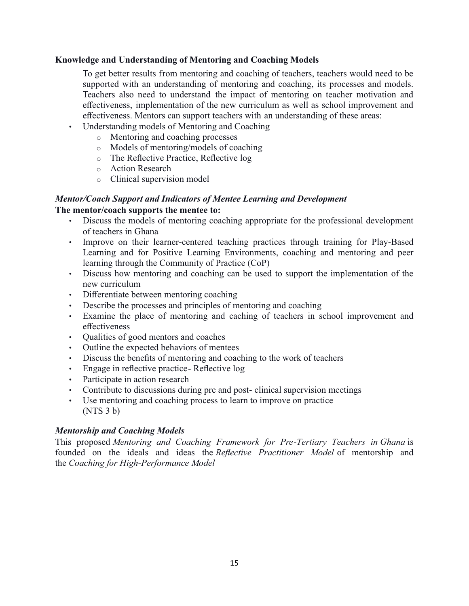#### **Knowledge and Understanding of Mentoring and Coaching Models**

To get better results from mentoring and coaching of teachers, teachers would need to be supported with an understanding of mentoring and coaching, its processes and models. Teachers also need to understand the impact of mentoring on teacher motivation and effectiveness, implementation of the new curriculum as well as school improvement and effectiveness. Mentors can support teachers with an understanding of these areas:

- Understanding models of Mentoring and Coaching
	- o Mentoring and coaching processes
	- o Models of mentoring/models of coaching
	- o The Reflective Practice, Reflective log
	- o Action Research
	- o Clinical supervision model

#### *Mentor/Coach Support and Indicators of Mentee Learning and Development*

#### **The mentor/coach supports the mentee to:**

- Discuss the models of mentoring coaching appropriate for the professional development of teachers in Ghana
- Improve on their learner-centered teaching practices through training for Play-Based Learning and for Positive Learning Environments, coaching and mentoring and peer learning through the Community of Practice (CoP)
- Discuss how mentoring and coaching can be used to support the implementation of the new curriculum
- Differentiate between mentoring coaching
- Describe the processes and principles of mentoring and coaching
- Examine the place of mentoring and caching of teachers in school improvement and effectiveness
- Qualities of good mentors and coaches
- Outline the expected behaviors of mentees
- Discuss the benefits of mentoring and coaching to the work of teachers
- Engage in reflective practice- Reflective log
- Participate in action research
- Contribute to discussions during pre and post- clinical supervision meetings
- Use mentoring and coaching process to learn to improve on practice (NTS 3 b)

# *Mentorship and Coaching Models*

This proposed *Mentoring and Coaching Framework for Pre-Tertiary Teachers in Ghana* is founded on the ideals and ideas the *Reflective Practitioner Model* of mentorship and the *Coaching for High-Performance Model*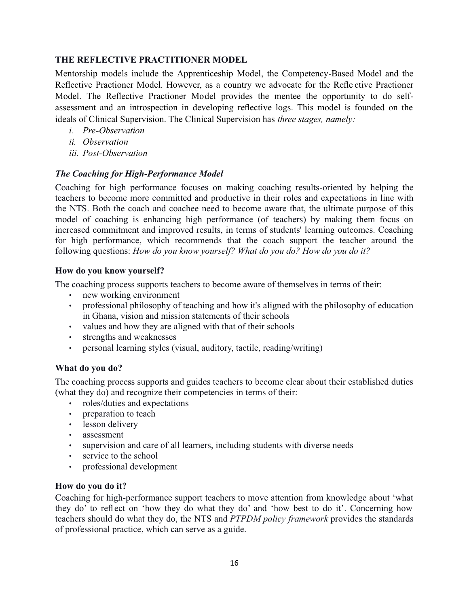# **THE REFLECTIVE PRACTITIONER MODEL**

Mentorship models include the Apprenticeship Model, the Competency-Based Model and the Reflective Practioner Model. However, as a country we advocate for the Refle ctive Practioner Model. The Reflective Practioner Model provides the mentee the opportunity to do selfassessment and an introspection in developing reflective logs. This model is founded on the ideals of Clinical Supervision. The Clinical Supervision has *three stages, namely:*

- *i. Pre-Observation*
- *ii. Observation*
- *iii. Post-Observation*

#### *The Coaching for High-Performance Model*

Coaching for high performance focuses on making coaching results-oriented by helping the teachers to become more committed and productive in their roles and expectations in line with the NTS. Both the coach and coachee need to become aware that, the ultimate purpose of this model of coaching is enhancing high performance (of teachers) by making them focus on increased commitment and improved results, in terms of students' learning outcomes. Coaching for high performance, which recommends that the coach support the teacher around the following questions: *How do you know yourself? What do you do? How do you do it?*

#### **How do you know yourself?**

The coaching process supports teachers to become aware of themselves in terms of their:

- new working environment
- professional philosophy of teaching and how it's aligned with the philosophy of education in Ghana, vision and mission statements of their schools
- values and how they are aligned with that of their schools
- strengths and weaknesses
- personal learning styles (visual, auditory, tactile, reading/writing)

#### **What do you do?**

The coaching process supports and guides teachers to become clear about their established duties (what they do) and recognize their competencies in terms of their:

- roles/duties and expectations
- preparation to teach
- lesson delivery
- assessment
- supervision and care of all learners, including students with diverse needs
- service to the school
- professional development

# **How do you do it?**

Coaching for high-performance support teachers to move attention from knowledge about 'what they do' to reflect on 'how they do what they do' and 'how best to do it'. Concerning how teachers should do what they do, the NTS and *PTPDM policy framework* provides the standards of professional practice, which can serve as a guide.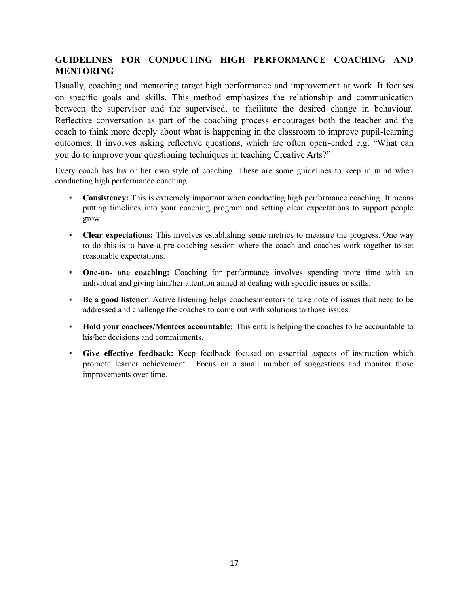# **GUIDELINES FOR CONDUCTING HIGH PERFORMANCE COACHING AND MENTORING**

Usually, coaching and mentoring target high performance and improvement at work. It focuses on specific goals and skills. This method emphasizes the relationship and communication between the supervisor and the supervised, to facilitate the desired change in behaviour. Reflective conversation as part of the coaching process encourages both the teacher and the coach to think more deeply about what is happening in the classroom to improve pupil-learning outcomes. It involves asking reflective questions, which are often open-ended e.g. "What can you do to improve your questioning techniques in teaching Creative Arts?"

Every coach has his or her own style of coaching. These are some guidelines to keep in mind when conducting high performance coaching.

- **Consistency:** This is extremely important when conducting high performance coaching. It means putting timelines into your coaching program and setting clear expectations to support people grow.
- **Clear expectations:** This involves establishing some metrics to measure the progress. One way to do this is to have a pre-coaching session where the coach and coaches work together to set reasonable expectations.
- **One-on- one coaching:** Coaching for performance involves spending more time with an individual and giving him/her attention aimed at dealing with specific issues or skills.
- **Be a good listener**: Active listening helps coaches/mentors to take note of issues that need to be addressed and challenge the coaches to come out with solutions to those issues.
- **Hold your coachees/Mentees accountable:** This entails helping the coaches to be accountable to his/her decisions and commitments.
- **Give effective feedback:** Keep feedback focused on essential aspects of instruction which promote learner achievement. Focus on a small number of suggestions and monitor those improvements over time.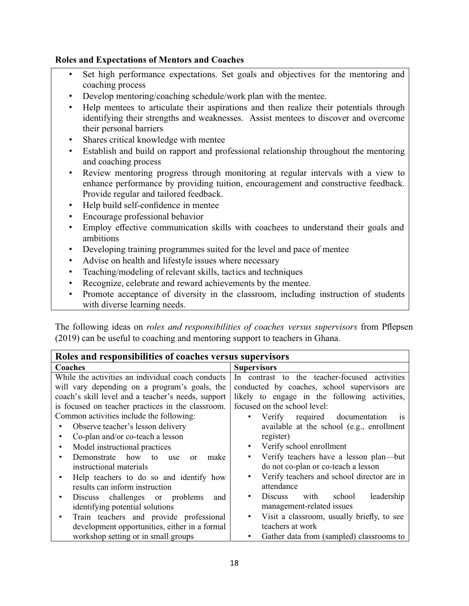#### **Roles and Expectations of Mentors and Coaches**

- Set high performance expectations. Set goals and objectives for the mentoring and coaching process
- Develop mentoring/coaching schedule/work plan with the mentee.
- Help mentees to articulate their aspirations and then realize their potentials through identifying their strengths and weaknesses. Assist mentees to discover and overcome their personal barriers
- Shares critical knowledge with mentee
- Establish and build on rapport and professional relationship throughout the mentoring and coaching process
- Review mentoring progress through monitoring at regular intervals with a view to enhance performance by providing tuition, encouragement and constructive feedback. Provide regular and tailored feedback.
- Help build self-confidence in mentee
- Encourage professional behavior
- Employ effective communication skills with coachees to understand their goals and ambitions
- Developing training programmes suited for the level and pace of mentee
- Advise on health and lifestyle issues where necessary
- Teaching/modeling of relevant skills, tactics and techniques
- Recognize, celebrate and reward achievements by the mentee.
- Promote acceptance of diversity in the classroom, including instruction of students with diverse learning needs.

The following ideas on *roles and responsibilities of coaches versus supervisors* from Pflepsen (2019) can be useful to coaching and mentoring support to teachers in Ghana.

| Roles and responsibilities of coaches versus supervisors |                                                         |  |  |
|----------------------------------------------------------|---------------------------------------------------------|--|--|
| Coaches                                                  | <b>Supervisors</b>                                      |  |  |
| While the activities an individual coach conducts        | In contrast to the teacher-focused activities           |  |  |
| will vary depending on a program's goals, the            | conducted by coaches, school supervisors are            |  |  |
| coach's skill level and a teacher's needs, support       | likely to engage in the following activities,           |  |  |
| is focused on teacher practices in the classroom.        | focused on the school level:                            |  |  |
| Common activities include the following:                 | Verify required documentation<br>٠<br><b>1S</b>         |  |  |
| Observe teacher's lesson delivery                        | available at the school (e.g., enrollment               |  |  |
| Co-plan and/or co-teach a lesson                         | register)                                               |  |  |
| Model instructional practices                            | Verify school enrollment<br>$\bullet$                   |  |  |
| Demonstrate how to<br>make<br>use<br>or                  | Verify teachers have a lesson plan—but<br>$\bullet$     |  |  |
| instructional materials                                  | do not co-plan or co-teach a lesson                     |  |  |
| Help teachers to do so and identify how                  | Verify teachers and school director are in<br>٠         |  |  |
| results can inform instruction                           | attendance                                              |  |  |
| Discuss challenges or problems<br>and                    | with school<br>leadership<br>Discuss<br>$\bullet$       |  |  |
| identifying potential solutions                          | management-related issues                               |  |  |
| Train teachers and provide professional                  | Visit a classroom, usually briefly, to see<br>$\bullet$ |  |  |
| development opportunities, either in a formal            | teachers at work                                        |  |  |
| workshop setting or in small groups                      | Gather data from (sampled) classrooms to                |  |  |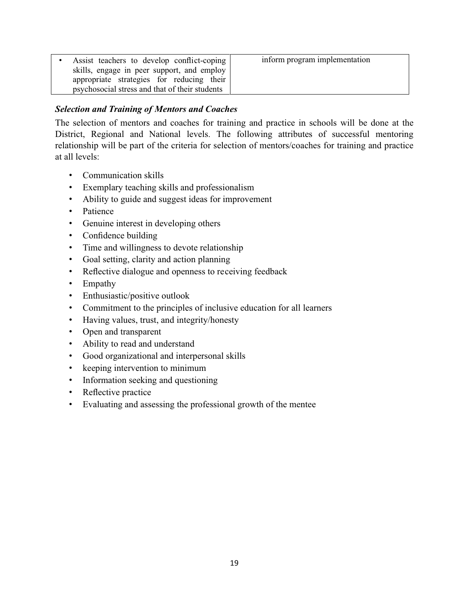| Assist teachers to develop conflict-coping     | inform program implementation |
|------------------------------------------------|-------------------------------|
| skills, engage in peer support, and employ     |                               |
| appropriate strategies for reducing their      |                               |
| psychosocial stress and that of their students |                               |

# *Selection and Training of Mentors and Coaches*

The selection of mentors and coaches for training and practice in schools will be done at the District, Regional and National levels. The following attributes of successful mentoring relationship will be part of the criteria for selection of mentors/coaches for training and practice at all levels:

- Communication skills
- Exemplary teaching skills and professionalism
- Ability to guide and suggest ideas for improvement
- Patience
- Genuine interest in developing others
- Confidence building
- Time and willingness to devote relationship
- Goal setting, clarity and action planning
- Reflective dialogue and openness to receiving feedback
- Empathy
- Enthusiastic/positive outlook
- Commitment to the principles of inclusive education for all learners
- Having values, trust, and integrity/honesty
- Open and transparent
- Ability to read and understand
- Good organizational and interpersonal skills
- keeping intervention to minimum
- Information seeking and questioning
- Reflective practice
- Evaluating and assessing the professional growth of the mentee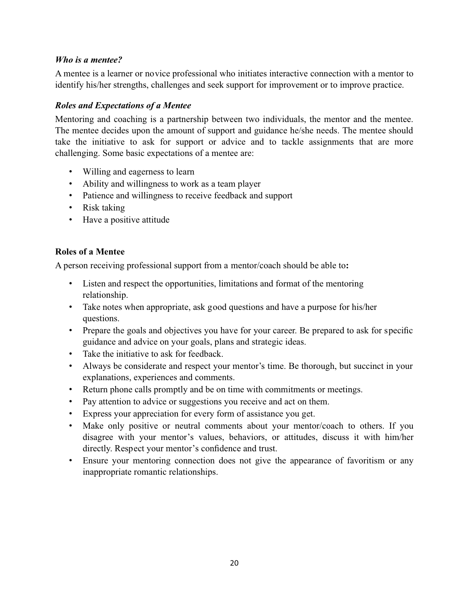#### *Who is a mentee?*

A mentee is a learner or novice professional who initiates interactive connection with a mentor to identify his/her strengths, challenges and seek support for improvement or to improve practice.

# *Roles and Expectations of a Mentee*

Mentoring and coaching is a partnership between two individuals, the mentor and the mentee. The mentee decides upon the amount of support and guidance he/she needs. The mentee should take the initiative to ask for support or advice and to tackle assignments that are more challenging. Some basic expectations of a mentee are:

- Willing and eagerness to learn
- Ability and willingness to work as a team player
- Patience and willingness to receive feedback and support
- Risk taking
- Have a positive attitude

# **Roles of a Mentee**

A person receiving professional support from a mentor/coach should be able to**:**

- Listen and respect the opportunities, limitations and format of the mentoring relationship.
- Take notes when appropriate, ask good questions and have a purpose for his/her questions.
- Prepare the goals and objectives you have for your career. Be prepared to ask for specific guidance and advice on your goals, plans and strategic ideas.
- Take the initiative to ask for feedback.
- Always be considerate and respect your mentor's time. Be thorough, but succinct in your explanations, experiences and comments.
- Return phone calls promptly and be on time with commitments or meetings.
- Pay attention to advice or suggestions you receive and act on them.
- Express your appreciation for every form of assistance you get.
- Make only positive or neutral comments about your mentor/coach to others. If you disagree with your mentor's values, behaviors, or attitudes, discuss it with him/her directly. Respect your mentor's confidence and trust.
- Ensure your mentoring connection does not give the appearance of favoritism or any inappropriate romantic relationships.